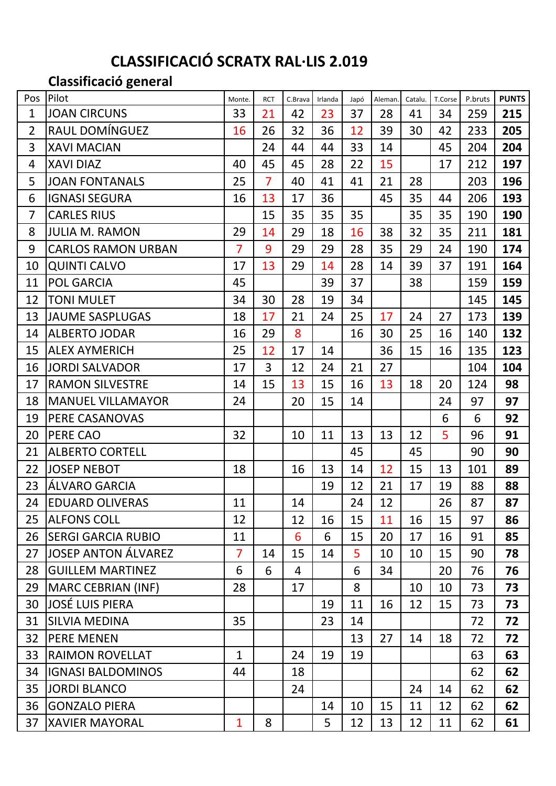# **CLASSIFICACIÓ SCRATX RAL·LIS 2.019**

**Classificació general**

| Pos            | Pilot                      | Monte.         | <b>RCT</b>     | C.Brava | Irlanda | Japó | Aleman. | Catalu. | T.Corse | P.bruts | <b>PUNTS</b> |
|----------------|----------------------------|----------------|----------------|---------|---------|------|---------|---------|---------|---------|--------------|
| 1              | <b>JOAN CIRCUNS</b>        | 33             | 21             | 42      | 23      | 37   | 28      | 41      | 34      | 259     | 215          |
| $\overline{2}$ | RAUL DOMÍNGUEZ             | 16             | 26             | 32      | 36      | 12   | 39      | 30      | 42      | 233     | 205          |
| 3              | <b>XAVI MACIAN</b>         |                | 24             | 44      | 44      | 33   | 14      |         | 45      | 204     | 204          |
| 4              | <b>XAVI DIAZ</b>           | 40             | 45             | 45      | 28      | 22   | 15      |         | 17      | 212     | 197          |
| 5              | <b>JOAN FONTANALS</b>      | 25             | $\overline{7}$ | 40      | 41      | 41   | 21      | 28      |         | 203     | 196          |
| 6              | <b>IGNASI SEGURA</b>       | 16             | 13             | 17      | 36      |      | 45      | 35      | 44      | 206     | 193          |
| $\overline{7}$ | <b>CARLES RIUS</b>         |                | 15             | 35      | 35      | 35   |         | 35      | 35      | 190     | 190          |
| 8              | <b>JULIA M. RAMON</b>      | 29             | 14             | 29      | 18      | 16   | 38      | 32      | 35      | 211     | 181          |
| 9              | <b>CARLOS RAMON URBAN</b>  | $\overline{7}$ | 9              | 29      | 29      | 28   | 35      | 29      | 24      | 190     | 174          |
| 10             | <b>QUINTI CALVO</b>        | 17             | 13             | 29      | 14      | 28   | 14      | 39      | 37      | 191     | 164          |
| 11             | <b>POL GARCIA</b>          | 45             |                |         | 39      | 37   |         | 38      |         | 159     | 159          |
| 12             | <b>TONI MULET</b>          | 34             | 30             | 28      | 19      | 34   |         |         |         | 145     | 145          |
| 13             | <b>JAUME SASPLUGAS</b>     | 18             | 17             | 21      | 24      | 25   | 17      | 24      | 27      | 173     | 139          |
| 14             | <b>ALBERTO JODAR</b>       | 16             | 29             | 8       |         | 16   | 30      | 25      | 16      | 140     | 132          |
| 15             | <b>ALEX AYMERICH</b>       | 25             | 12             | 17      | 14      |      | 36      | 15      | 16      | 135     | 123          |
| 16             | <b>JORDI SALVADOR</b>      | 17             | 3              | 12      | 24      | 21   | 27      |         |         | 104     | 104          |
| 17             | <b>RAMON SILVESTRE</b>     | 14             | 15             | 13      | 15      | 16   | 13      | 18      | 20      | 124     | 98           |
| 18             | <b>MANUEL VILLAMAYOR</b>   | 24             |                | 20      | 15      | 14   |         |         | 24      | 97      | 97           |
| 19             | PERE CASANOVAS             |                |                |         |         |      |         |         | 6       | 6       | 92           |
| 20             | <b>PERE CAO</b>            | 32             |                | 10      | 11      | 13   | 13      | 12      | 5       | 96      | 91           |
| 21             | <b>ALBERTO CORTELL</b>     |                |                |         |         | 45   |         | 45      |         | 90      | 90           |
| 22             | <b>JOSEP NEBOT</b>         | 18             |                | 16      | 13      | 14   | 12      | 15      | 13      | 101     | 89           |
| 23             | ÁLVARO GARCIA              |                |                |         | 19      | 12   | 21      | 17      | 19      | 88      | 88           |
| 24             | <b>EDUARD OLIVERAS</b>     | 11             |                | 14      |         | 24   | 12      |         | 26      | 87      | 87           |
| 25             | <b>ALFONS COLL</b>         | 12             |                | 12      | 16      | 15   | 11      | 16      | 15      | 97      | 86           |
| 26             | <b>SERGI GARCIA RUBIO</b>  | 11             |                | 6       | 6       | 15   | 20      | 17      | 16      | 91      | 85           |
| 27             | <b>JOSEP ANTON ÁLVAREZ</b> | $\overline{7}$ | 14             | 15      | 14      | 5    | 10      | 10      | 15      | 90      | 78           |
| 28             | <b>GUILLEM MARTINEZ</b>    | 6              | 6              | 4       |         | 6    | 34      |         | 20      | 76      | 76           |
| 29             | MARC CEBRIAN (INF)         | 28             |                | 17      |         | 8    |         | 10      | 10      | 73      | 73           |
| 30             | <b>JOSÉ LUIS PIERA</b>     |                |                |         | 19      | 11   | 16      | 12      | 15      | 73      | 73           |
| 31             | <b>SILVIA MEDINA</b>       | 35             |                |         | 23      | 14   |         |         |         | 72      | 72           |
| 32             | <b>PERE MENEN</b>          |                |                |         |         | 13   | 27      | 14      | 18      | 72      | 72           |
| 33             | <b>RAIMON ROVELLAT</b>     | $\mathbf{1}$   |                | 24      | 19      | 19   |         |         |         | 63      | 63           |
| 34             | <b>IGNASI BALDOMINOS</b>   | 44             |                | 18      |         |      |         |         |         | 62      | 62           |
| 35             | <b>JORDI BLANCO</b>        |                |                | 24      |         |      |         | 24      | 14      | 62      | 62           |
| 36             | <b>GONZALO PIERA</b>       |                |                |         | 14      | 10   | 15      | 11      | 12      | 62      | 62           |
| 37             | <b>XAVIER MAYORAL</b>      | $\mathbf{1}$   | 8              |         | 5       | 12   | 13      | 12      | 11      | 62      | 61           |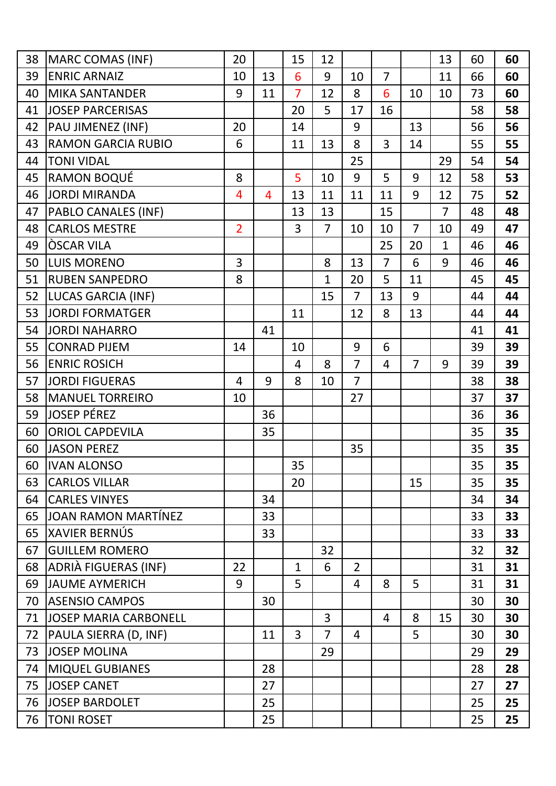| 38 | MARC COMAS (INF)             | 20             |                | 15             | 12             |                |                |                | 13             | 60 | 60 |
|----|------------------------------|----------------|----------------|----------------|----------------|----------------|----------------|----------------|----------------|----|----|
| 39 | <b>ENRIC ARNAIZ</b>          | 10             | 13             | 6              | 9              | 10             | $\overline{7}$ |                | 11             | 66 | 60 |
| 40 | <b>MIKA SANTANDER</b>        | 9              | 11             | $\overline{7}$ | 12             | 8              | 6              | 10             | 10             | 73 | 60 |
| 41 | <b>JOSEP PARCERISAS</b>      |                |                | 20             | 5              | 17             | 16             |                |                | 58 | 58 |
| 42 | PAU JIMENEZ (INF)            | 20             |                | 14             |                | 9              |                | 13             |                | 56 | 56 |
| 43 | <b>RAMON GARCIA RUBIO</b>    | 6              |                | 11             | 13             | 8              | $\overline{3}$ | 14             |                | 55 | 55 |
| 44 | <b>TONI VIDAL</b>            |                |                |                |                | 25             |                |                | 29             | 54 | 54 |
| 45 | RAMON BOQUÉ                  | 8              |                | 5              | 10             | 9              | 5              | 9              | 12             | 58 | 53 |
| 46 | <b>JORDI MIRANDA</b>         | 4              | $\overline{4}$ | 13             | 11             | 11             | 11             | 9              | 12             | 75 | 52 |
| 47 | PABLO CANALES (INF)          |                |                | 13             | 13             |                | 15             |                | $\overline{7}$ | 48 | 48 |
| 48 | <b>CARLOS MESTRE</b>         | $\overline{2}$ |                | $\overline{3}$ | $\overline{7}$ | 10             | 10             | $\overline{7}$ | 10             | 49 | 47 |
| 49 | ÒSCAR VILA                   |                |                |                |                |                | 25             | 20             | $\mathbf{1}$   | 46 | 46 |
| 50 | <b>LUIS MORENO</b>           | 3              |                |                | 8              | 13             | $\overline{7}$ | 6              | 9              | 46 | 46 |
| 51 | <b>RUBEN SANPEDRO</b>        | 8              |                |                | $\mathbf{1}$   | 20             | 5              | 11             |                | 45 | 45 |
| 52 | <b>LUCAS GARCIA (INF)</b>    |                |                |                | 15             | $\overline{7}$ | 13             | 9              |                | 44 | 44 |
| 53 | <b>JORDI FORMATGER</b>       |                |                | 11             |                | 12             | 8              | 13             |                | 44 | 44 |
| 54 | <b>JORDI NAHARRO</b>         |                | 41             |                |                |                |                |                |                | 41 | 41 |
| 55 | <b>CONRAD PIJEM</b>          | 14             |                | 10             |                | 9              | 6              |                |                | 39 | 39 |
| 56 | <b>ENRIC ROSICH</b>          |                |                | 4              | 8              | $\overline{7}$ | $\overline{4}$ | $\overline{7}$ | 9              | 39 | 39 |
| 57 | <b>JORDI FIGUERAS</b>        | $\overline{4}$ | 9              | 8              | 10             | $\overline{7}$ |                |                |                | 38 | 38 |
| 58 | <b>MANUEL TORREIRO</b>       | 10             |                |                |                | 27             |                |                |                | 37 | 37 |
| 59 | <b>JOSEP PÉREZ</b>           |                | 36             |                |                |                |                |                |                | 36 | 36 |
| 60 | <b>ORIOL CAPDEVILA</b>       |                | 35             |                |                |                |                |                |                | 35 | 35 |
| 60 | <b>JASON PEREZ</b>           |                |                |                |                | 35             |                |                |                | 35 | 35 |
| 60 | <b>IVAN ALONSO</b>           |                |                | 35             |                |                |                |                |                | 35 | 35 |
| 63 | <b>CARLOS VILLAR</b>         |                |                | 20             |                |                |                | 15             |                | 35 | 35 |
| 64 | <b>CARLES VINYES</b>         |                | 34             |                |                |                |                |                |                | 34 | 34 |
| 65 | JOAN RAMON MARTÍNEZ          |                | 33             |                |                |                |                |                |                | 33 | 33 |
| 65 | XAVIER BERNÚS                |                | 33             |                |                |                |                |                |                | 33 | 33 |
| 67 | <b>GUILLEM ROMERO</b>        |                |                |                | 32             |                |                |                |                | 32 | 32 |
| 68 | ADRIÀ FIGUERAS (INF)         | 22             |                | $\mathbf{1}$   | 6              | $\overline{2}$ |                |                |                | 31 | 31 |
| 69 | <b>JAUME AYMERICH</b>        | 9              |                | 5              |                | $\overline{4}$ | 8              | 5              |                | 31 | 31 |
| 70 | <b>ASENSIO CAMPOS</b>        |                | 30             |                |                |                |                |                |                | 30 | 30 |
| 71 | <b>JOSEP MARIA CARBONELL</b> |                |                |                | $\overline{3}$ |                | $\overline{4}$ | 8              | 15             | 30 | 30 |
| 72 | PAULA SIERRA (D, INF)        |                | 11             | $\overline{3}$ | $\overline{7}$ | $\overline{4}$ |                | 5              |                | 30 | 30 |
| 73 | <b>JOSEP MOLINA</b>          |                |                |                | 29             |                |                |                |                | 29 | 29 |
| 74 | <b>MIQUEL GUBIANES</b>       |                | 28             |                |                |                |                |                |                | 28 | 28 |
| 75 | <b>JOSEP CANET</b>           |                | 27             |                |                |                |                |                |                | 27 | 27 |
| 76 | <b>JOSEP BARDOLET</b>        |                | 25             |                |                |                |                |                |                | 25 | 25 |
| 76 | <b>TONI ROSET</b>            |                | 25             |                |                |                |                |                |                | 25 | 25 |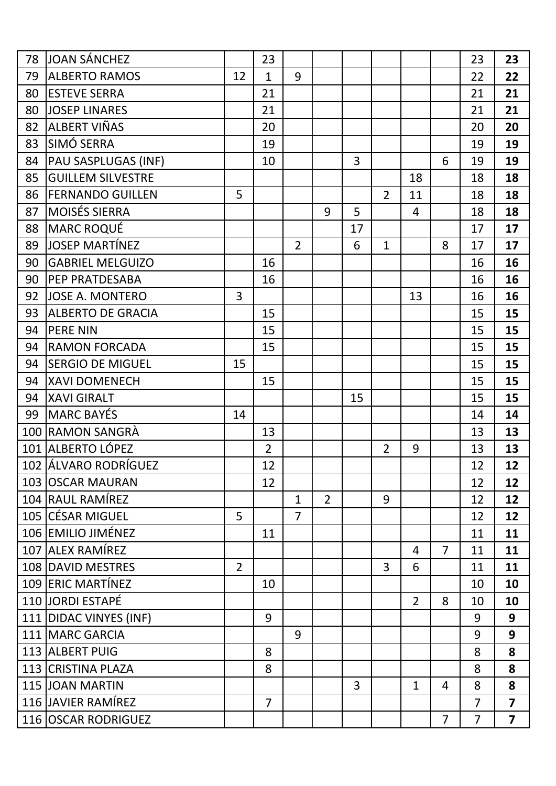| 78 | JOAN SÁNCHEZ             |                | 23             |                |                |                |                |                |                | 23             | 23                      |
|----|--------------------------|----------------|----------------|----------------|----------------|----------------|----------------|----------------|----------------|----------------|-------------------------|
| 79 | <b>ALBERTO RAMOS</b>     | 12             | $\mathbf{1}$   | 9              |                |                |                |                |                | 22             | 22                      |
| 80 | <b>ESTEVE SERRA</b>      |                | 21             |                |                |                |                |                |                | 21             | 21                      |
| 80 | <b>JOSEP LINARES</b>     |                | 21             |                |                |                |                |                |                | 21             | 21                      |
| 82 | ALBERT VIÑAS             |                | 20             |                |                |                |                |                |                | 20             | 20                      |
| 83 | SIMÓ SERRA               |                | 19             |                |                |                |                |                |                | 19             | 19                      |
| 84 | PAU SASPLUGAS (INF)      |                | 10             |                |                | $\overline{3}$ |                |                | 6              | 19             | 19                      |
| 85 | <b>GUILLEM SILVESTRE</b> |                |                |                |                |                |                | 18             |                | 18             | 18                      |
| 86 | <b>FERNANDO GUILLEN</b>  | 5              |                |                |                |                | $\overline{2}$ | 11             |                | 18             | 18                      |
| 87 | <b>MOISÉS SIERRA</b>     |                |                |                | 9              | 5              |                | 4              |                | 18             | 18                      |
| 88 | <b>MARC ROQUÉ</b>        |                |                |                |                | 17             |                |                |                | 17             | 17                      |
| 89 | JOSEP MARTÍNEZ           |                |                | $\overline{2}$ |                | 6              | $\mathbf{1}$   |                | 8              | 17             | 17                      |
| 90 | <b>GABRIEL MELGUIZO</b>  |                | 16             |                |                |                |                |                |                | 16             | 16                      |
| 90 | <b>PEP PRATDESABA</b>    |                | 16             |                |                |                |                |                |                | 16             | 16                      |
| 92 | <b>JOSE A. MONTERO</b>   | 3              |                |                |                |                |                | 13             |                | 16             | 16                      |
| 93 | <b>ALBERTO DE GRACIA</b> |                | 15             |                |                |                |                |                |                | 15             | 15                      |
| 94 | <b>PERE NIN</b>          |                | 15             |                |                |                |                |                |                | 15             | 15                      |
| 94 | <b>RAMON FORCADA</b>     |                | 15             |                |                |                |                |                |                | 15             | 15                      |
| 94 | <b>SERGIO DE MIGUEL</b>  | 15             |                |                |                |                |                |                |                | 15             | 15                      |
| 94 | <b>XAVI DOMENECH</b>     |                | 15             |                |                |                |                |                |                | 15             | 15                      |
| 94 | <b>XAVI GIRALT</b>       |                |                |                |                | 15             |                |                |                | 15             | 15                      |
| 99 | MARC BAYES               | 14             |                |                |                |                |                |                |                | 14             | 14                      |
|    | 100 RAMON SANGRÀ         |                | 13             |                |                |                |                |                |                | 13             | 13                      |
|    | 101 ALBERTO LÓPEZ        |                | $\overline{2}$ |                |                |                | $\overline{2}$ | 9              |                | 13             | 13                      |
|    | 102 ÁLVARO RODRÍGUEZ     |                | 12             |                |                |                |                |                |                | 12             | 12                      |
|    | 103 OSCAR MAURAN         |                | 12             |                |                |                |                |                |                | 12             | 12                      |
|    | 104 RAUL RAMÍREZ         |                |                | $\mathbf{1}$   | $\overline{2}$ |                | 9              |                |                | 12             | 12                      |
|    | 105 CESAR MIGUEL         | 5              |                | $\overline{7}$ |                |                |                |                |                | 12             | 12                      |
|    | 106 EMILIO JIMÉNEZ       |                | 11             |                |                |                |                |                |                | 11             | 11                      |
|    | 107 ALEX RAMÍREZ         |                |                |                |                |                |                | 4              | $\overline{7}$ | 11             | 11                      |
|    | 108 DAVID MESTRES        | $\overline{2}$ |                |                |                |                | 3              | 6              |                | 11             | 11                      |
|    | 109 ERIC MARTÍNEZ        |                | 10             |                |                |                |                |                |                | 10             | 10                      |
|    | 110 JORDI ESTAPÉ         |                |                |                |                |                |                | $\overline{2}$ | 8              | 10             | 10                      |
|    | 111 DIDAC VINYES (INF)   |                | 9              |                |                |                |                |                |                | 9              | 9                       |
|    | 111 MARC GARCIA          |                |                | 9              |                |                |                |                |                | 9              | 9                       |
|    | 113 ALBERT PUIG          |                | 8              |                |                |                |                |                |                | 8              | 8                       |
|    | 113 CRISTINA PLAZA       |                | 8              |                |                |                |                |                |                | 8              | 8                       |
|    | 115 JOAN MARTIN          |                |                |                |                | 3              |                | $\mathbf 1$    | 4              | 8              | 8                       |
|    | 116 JAVIER RAMÍREZ       |                | $\overline{7}$ |                |                |                |                |                |                | $\overline{7}$ | $\overline{7}$          |
|    | 116 OSCAR RODRIGUEZ      |                |                |                |                |                |                |                | $\overline{7}$ | $\overline{7}$ | $\overline{\mathbf{z}}$ |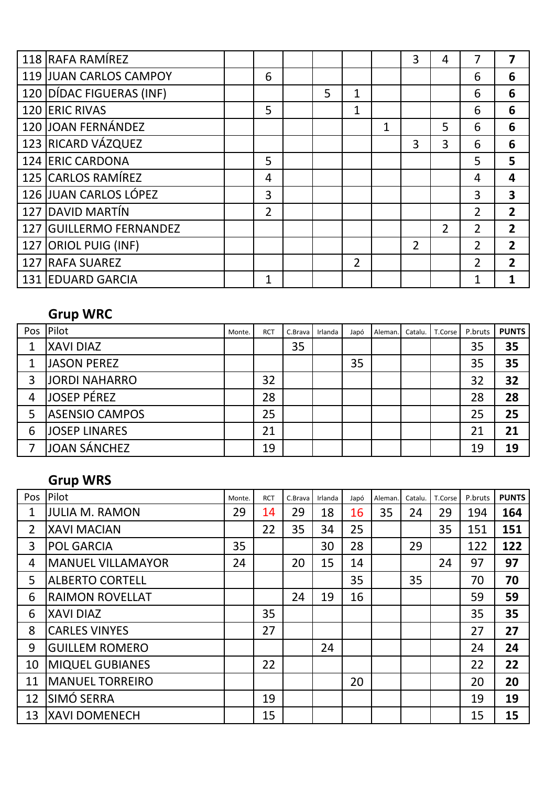|     | 118 RAFA RAMÍREZ           |                |   |   |   | 3              | 4              |                | 7              |
|-----|----------------------------|----------------|---|---|---|----------------|----------------|----------------|----------------|
|     | 119 JUAN CARLOS CAMPOY     | 6              |   |   |   |                |                | 6              | 6              |
|     | 120 DÍDAC FIGUERAS (INF)   |                | 5 | 1 |   |                |                | 6              | 6              |
|     | 120 ERIC RIVAS             | 5              |   | 1 |   |                |                | 6              | 6              |
|     | 120 JOAN FERNÁNDEZ         |                |   |   | 1 |                | 5              | 6              | 6              |
|     | 123 RICARD VÁZQUEZ         |                |   |   |   | 3              | 3              | 6              | 6              |
|     | 124 ERIC CARDONA           | 5              |   |   |   |                |                | 5              | 5              |
|     | 125 CARLOS RAMÍREZ         | 4              |   |   |   |                |                | 4              | 4              |
|     | 126 JUAN CARLOS LÓPEZ      | 3              |   |   |   |                |                | 3              | 3              |
|     | 127 DAVID MARTÍN           | $\overline{2}$ |   |   |   |                |                | $\overline{2}$ | $\overline{2}$ |
| 127 | <b>GUILLERMO FERNANDEZ</b> |                |   |   |   |                | $\overline{2}$ | $\overline{2}$ | $\overline{2}$ |
|     | 127 ORIOL PUIG (INF)       |                |   |   |   | $\overline{2}$ |                | 2              | $\overline{2}$ |
|     | 127 RAFA SUAREZ            |                |   | 2 |   |                |                | $\overline{2}$ | $\overline{2}$ |
|     | 131 EDUARD GARCIA          | $\mathbf{1}$   |   |   |   |                |                |                |                |

#### **Grup WRC**

|   | Pos Pilot             | Monte. | <b>RCT</b> | C.Brava | Irlanda | Japó | Aleman. | Catalu. | T.Corse | P.bruts | <b>PUNTS</b> |
|---|-----------------------|--------|------------|---------|---------|------|---------|---------|---------|---------|--------------|
| 1 | <b>XAVI DIAZ</b>      |        |            | 35      |         |      |         |         |         | 35      | 35           |
| 1 | <b>JASON PEREZ</b>    |        |            |         |         | 35   |         |         |         | 35      | 35           |
| 3 | <b>JORDI NAHARRO</b>  |        | 32         |         |         |      |         |         |         | 32      | 32           |
| 4 | <b>JOSEP PÉREZ</b>    |        | 28         |         |         |      |         |         |         | 28      | 28           |
| 5 | <b>ASENSIO CAMPOS</b> |        | 25         |         |         |      |         |         |         | 25      | 25           |
| 6 | <b>JOSEP LINARES</b>  |        | 21         |         |         |      |         |         |         | 21      | 21           |
|   | JOAN SÁNCHEZ          |        | 19         |         |         |      |         |         |         | 19      | 19           |

#### **Grup WRS**

| Pos            | Pilot                    | Monte. | <b>RCT</b> | C.Brava | Irlanda | Japó | Aleman. | Catalu. | T.Corse | P.bruts | <b>PUNTS</b> |
|----------------|--------------------------|--------|------------|---------|---------|------|---------|---------|---------|---------|--------------|
| 1              | <b>JULIA M. RAMON</b>    | 29     | 14         | 29      | 18      | 16   | 35      | 24      | 29      | 194     | 164          |
| $\overline{2}$ | <b>XAVI MACIAN</b>       |        | 22         | 35      | 34      | 25   |         |         | 35      | 151     | 151          |
| 3              | <b>POL GARCIA</b>        | 35     |            |         | 30      | 28   |         | 29      |         | 122     | 122          |
| 4              | <b>MANUEL VILLAMAYOR</b> | 24     |            | 20      | 15      | 14   |         |         | 24      | 97      | 97           |
| 5              | <b>ALBERTO CORTELL</b>   |        |            |         |         | 35   |         | 35      |         | 70      | 70           |
| 6              | <b>RAIMON ROVELLAT</b>   |        |            | 24      | 19      | 16   |         |         |         | 59      | 59           |
| 6              | <b>XAVI DIAZ</b>         |        | 35         |         |         |      |         |         |         | 35      | 35           |
| 8              | <b>CARLES VINYES</b>     |        | 27         |         |         |      |         |         |         | 27      | 27           |
| 9              | <b>GUILLEM ROMERO</b>    |        |            |         | 24      |      |         |         |         | 24      | 24           |
| 10             | <b>MIQUEL GUBIANES</b>   |        | 22         |         |         |      |         |         |         | 22      | 22           |
| 11             | <b>MANUEL TORREIRO</b>   |        |            |         |         | 20   |         |         |         | 20      | 20           |
| 12             | SIMÓ SERRA               |        | 19         |         |         |      |         |         |         | 19      | 19           |
| 13             | <b>XAVI DOMENECH</b>     |        | 15         |         |         |      |         |         |         | 15      | 15           |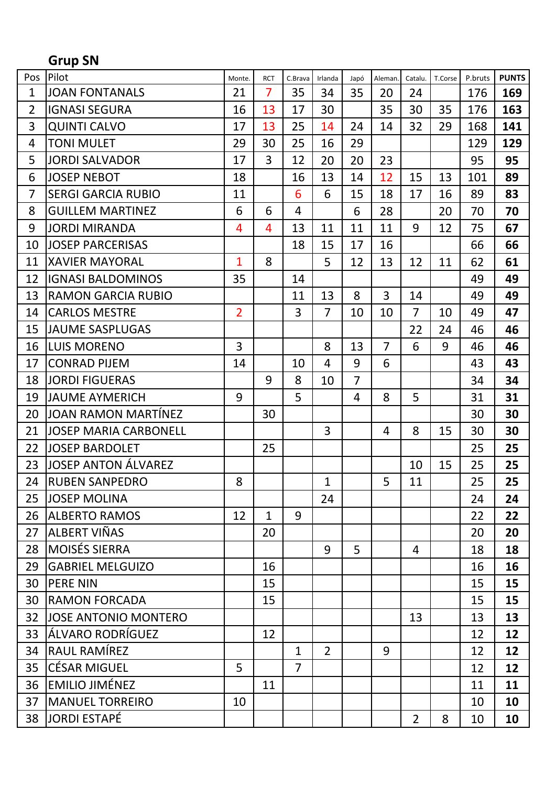# **Grup SN**

| Pos            | Pilot                        | Monte.         | <b>RCT</b>     | C.Brava        | Irlanda        | Japó           | Aleman.        | Catalu.        | T.Corse | P.bruts | <b>PUNTS</b> |
|----------------|------------------------------|----------------|----------------|----------------|----------------|----------------|----------------|----------------|---------|---------|--------------|
| $\mathbf{1}$   | <b>JOAN FONTANALS</b>        | 21             | $\overline{7}$ | 35             | 34             | 35             | 20             | 24             |         | 176     | 169          |
| $\overline{2}$ | <b>IGNASI SEGURA</b>         | 16             | 13             | 17             | 30             |                | 35             | 30             | 35      | 176     | 163          |
| 3              | <b>QUINTI CALVO</b>          | 17             | 13             | 25             | 14             | 24             | 14             | 32             | 29      | 168     | 141          |
| 4              | <b>TONI MULET</b>            | 29             | 30             | 25             | 16             | 29             |                |                |         | 129     | 129          |
| 5              | <b>JORDI SALVADOR</b>        | 17             | 3              | 12             | 20             | 20             | 23             |                |         | 95      | 95           |
| 6              | <b>JOSEP NEBOT</b>           | 18             |                | 16             | 13             | 14             | 12             | 15             | 13      | 101     | 89           |
| $\overline{7}$ | <b>SERGI GARCIA RUBIO</b>    | 11             |                | 6              | 6              | 15             | 18             | 17             | 16      | 89      | 83           |
| 8              | <b>GUILLEM MARTINEZ</b>      | 6              | 6              | 4              |                | 6              | 28             |                | 20      | 70      | 70           |
| 9              | <b>JORDI MIRANDA</b>         | 4              | $\overline{4}$ | 13             | 11             | 11             | 11             | 9              | 12      | 75      | 67           |
| 10             | <b>JOSEP PARCERISAS</b>      |                |                | 18             | 15             | 17             | 16             |                |         | 66      | 66           |
| 11             | <b>XAVIER MAYORAL</b>        | $\mathbf{1}$   | 8              |                | 5              | 12             | 13             | 12             | 11      | 62      | 61           |
| 12             | <b>IGNASI BALDOMINOS</b>     | 35             |                | 14             |                |                |                |                |         | 49      | 49           |
| 13             | <b>RAMON GARCIA RUBIO</b>    |                |                | 11             | 13             | 8              | 3              | 14             |         | 49      | 49           |
| 14             | <b>CARLOS MESTRE</b>         | $\overline{2}$ |                | $\overline{3}$ | $\overline{7}$ | 10             | 10             | $\overline{7}$ | 10      | 49      | 47           |
| 15             | <b>JAUME SASPLUGAS</b>       |                |                |                |                |                |                | 22             | 24      | 46      | 46           |
| 16             | <b>LUIS MORENO</b>           | 3              |                |                | 8              | 13             | $\overline{7}$ | 6              | 9       | 46      | 46           |
| 17             | <b>CONRAD PIJEM</b>          | 14             |                | 10             | $\overline{4}$ | 9              | 6              |                |         | 43      | 43           |
| 18             | <b>JORDI FIGUERAS</b>        |                | 9              | 8              | 10             | $\overline{7}$ |                |                |         | 34      | 34           |
| 19             | <b>JAUME AYMERICH</b>        | 9              |                | 5              |                | $\overline{4}$ | 8              | 5              |         | 31      | 31           |
| 20             | JOAN RAMON MARTÍNEZ          |                | 30             |                |                |                |                |                |         | 30      | 30           |
| 21             | <b>JOSEP MARIA CARBONELL</b> |                |                |                | 3              |                | $\overline{4}$ | 8              | 15      | 30      | 30           |
| 22             | <b>JOSEP BARDOLET</b>        |                | 25             |                |                |                |                |                |         | 25      | 25           |
| 23             | <b>JOSEP ANTON ÁLVAREZ</b>   |                |                |                |                |                |                | 10             | 15      | 25      | 25           |
| 24             | <b>RUBEN SANPEDRO</b>        | 8              |                |                | $\mathbf{1}$   |                | 5              | 11             |         | 25      | 25           |
| 25             | <b>JOSEP MOLINA</b>          |                |                |                | 24             |                |                |                |         | 24      | 24           |
| 26             | <b>ALBERTO RAMOS</b>         | 12             | $\mathbf{1}$   | 9              |                |                |                |                |         | 22      | 22           |
| 27             | ALBERT VIÑAS                 |                | 20             |                |                |                |                |                |         | 20      | 20           |
| 28             | <b>MOISÉS SIERRA</b>         |                |                |                | 9              | 5              |                | 4              |         | 18      | 18           |
| 29             | <b>GABRIEL MELGUIZO</b>      |                | 16             |                |                |                |                |                |         | 16      | 16           |
| 30             | <b>PERE NIN</b>              |                | 15             |                |                |                |                |                |         | 15      | 15           |
| 30             | <b>RAMON FORCADA</b>         |                | 15             |                |                |                |                |                |         | 15      | 15           |
| 32             | <b>JOSE ANTONIO MONTERO</b>  |                |                |                |                |                |                | 13             |         | 13      | 13           |
| 33             | ÁLVARO RODRÍGUEZ             |                | 12             |                |                |                |                |                |         | 12      | 12           |
| 34             | RAUL RAMÍREZ                 |                |                | $\mathbf{1}$   | $\overline{2}$ |                | 9              |                |         | 12      | 12           |
| 35             | <b>CÉSAR MIGUEL</b>          | 5              |                | $\overline{7}$ |                |                |                |                |         | 12      | 12           |
| 36             | <b>EMILIO JIMÉNEZ</b>        |                | 11             |                |                |                |                |                |         | 11      | 11           |
| 37             | <b>MANUEL TORREIRO</b>       | 10             |                |                |                |                |                |                |         | 10      | 10           |
| 38             | <b>JORDI ESTAPÉ</b>          |                |                |                |                |                |                | $\overline{2}$ | 8       | 10      | 10           |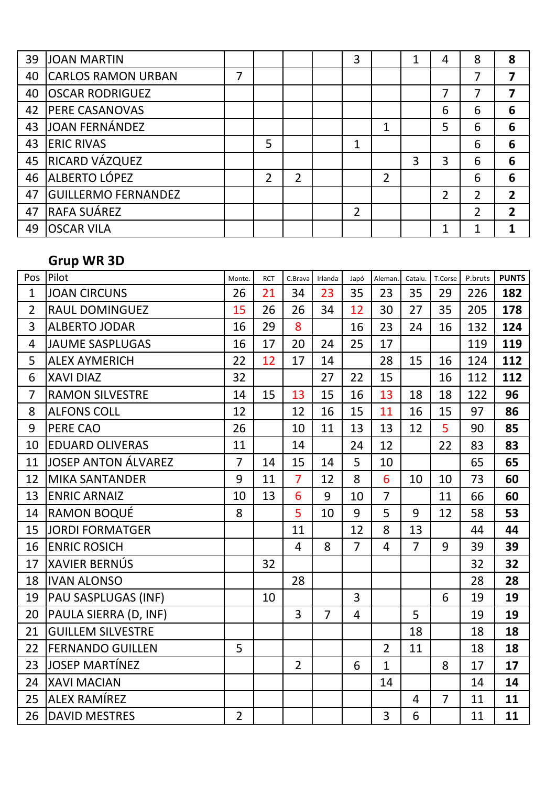| 39 | <b>JOAN MARTIN</b>         |   |   |   | 3              |                | 1 | 4              | 8 | 8 |
|----|----------------------------|---|---|---|----------------|----------------|---|----------------|---|---|
| 40 | <b>CARLOS RAMON URBAN</b>  | 7 |   |   |                |                |   |                | 7 |   |
| 40 | <b>OSCAR RODRIGUEZ</b>     |   |   |   |                |                |   |                |   | 7 |
| 42 | <b>PERE CASANOVAS</b>      |   |   |   |                |                |   | 6              | 6 | 6 |
| 43 | JOAN FERNÁNDEZ             |   |   |   |                | 1              |   | 5              | 6 | 6 |
| 43 | <b>ERIC RIVAS</b>          |   | 5 |   | $\overline{1}$ |                |   |                | 6 | 6 |
| 45 | RICARD VÁZQUEZ             |   |   |   |                |                | 3 | 3              | 6 | 6 |
| 46 | ALBERTO LÓPEZ              |   | 2 | 2 |                | $\overline{2}$ |   |                | 6 | 6 |
| 47 | <b>GUILLERMO FERNANDEZ</b> |   |   |   |                |                |   | $\overline{2}$ | 2 | 2 |
| 47 | <b>RAFA SUÁREZ</b>         |   |   |   | $\overline{2}$ |                |   |                | 2 | 2 |
| 49 | <b>OSCAR VILA</b>          |   |   |   |                |                |   |                |   |   |

#### **Grup WR 3D**

| Pos            | Pilot                    | Monte.         | <b>RCT</b> | C.Brava        | Irlanda        | Japó           | Aleman.        | Catalu.        | T.Corse        | P.bruts | <b>PUNTS</b> |
|----------------|--------------------------|----------------|------------|----------------|----------------|----------------|----------------|----------------|----------------|---------|--------------|
| $\mathbf{1}$   | <b>JOAN CIRCUNS</b>      | 26             | 21         | 34             | 23             | 35             | 23             | 35             | 29             | 226     | 182          |
| $\overline{2}$ | <b>RAUL DOMINGUEZ</b>    | 15             | 26         | 26             | 34             | 12             | 30             | 27             | 35             | 205     | 178          |
| 3              | <b>ALBERTO JODAR</b>     | 16             | 29         | 8              |                | 16             | 23             | 24             | 16             | 132     | 124          |
| $\overline{4}$ | <b>JAUME SASPLUGAS</b>   | 16             | 17         | 20             | 24             | 25             | 17             |                |                | 119     | 119          |
| 5              | <b>ALEX AYMERICH</b>     | 22             | 12         | 17             | 14             |                | 28             | 15             | 16             | 124     | 112          |
| 6              | <b>XAVI DIAZ</b>         | 32             |            |                | 27             | 22             | 15             |                | 16             | 112     | 112          |
| $\overline{7}$ | <b>RAMON SILVESTRE</b>   | 14             | 15         | 13             | 15             | 16             | 13             | 18             | 18             | 122     | 96           |
| 8              | <b>ALFONS COLL</b>       | 12             |            | 12             | 16             | 15             | 11             | 16             | 15             | 97      | 86           |
| 9              | PERE CAO                 | 26             |            | 10             | 11             | 13             | 13             | 12             | 5              | 90      | 85           |
| 10             | <b>EDUARD OLIVERAS</b>   | 11             |            | 14             |                | 24             | 12             |                | 22             | 83      | 83           |
| 11             | JOSEP ANTON ÁLVAREZ      | $\overline{7}$ | 14         | 15             | 14             | 5              | 10             |                |                | 65      | 65           |
| 12             | <b>MIKA SANTANDER</b>    | 9              | 11         | $\overline{7}$ | 12             | 8              | 6              | 10             | 10             | 73      | 60           |
| 13             | <b>ENRIC ARNAIZ</b>      | 10             | 13         | 6              | 9              | 10             | $\overline{7}$ |                | 11             | 66      | 60           |
| 14             | <b>RAMON BOQUÉ</b>       | 8              |            | 5              | 10             | 9              | 5              | 9              | 12             | 58      | 53           |
| 15             | <b>JORDI FORMATGER</b>   |                |            | 11             |                | 12             | 8              | 13             |                | 44      | 44           |
| 16             | <b>ENRIC ROSICH</b>      |                |            | $\overline{4}$ | 8              | $\overline{7}$ | $\overline{4}$ | $\overline{7}$ | 9              | 39      | 39           |
| 17             | <b>XAVIER BERNÚS</b>     |                | 32         |                |                |                |                |                |                | 32      | 32           |
| 18             | <b>IVAN ALONSO</b>       |                |            | 28             |                |                |                |                |                | 28      | 28           |
| 19             | PAU SASPLUGAS (INF)      |                | 10         |                |                | 3              |                |                | 6              | 19      | 19           |
| 20             | PAULA SIERRA (D, INF)    |                |            | $\overline{3}$ | $\overline{7}$ | $\overline{4}$ |                | 5              |                | 19      | 19           |
| 21             | <b>GUILLEM SILVESTRE</b> |                |            |                |                |                |                | 18             |                | 18      | 18           |
| 22             | <b>FERNANDO GUILLEN</b>  | 5              |            |                |                |                | $\overline{2}$ | 11             |                | 18      | 18           |
| 23             | <b>JOSEP MARTÍNEZ</b>    |                |            | $\overline{2}$ |                | 6              | $\mathbf{1}$   |                | 8              | 17      | 17           |
| 24             | <b>XAVI MACIAN</b>       |                |            |                |                |                | 14             |                |                | 14      | 14           |
| 25             | ALEX RAMÍREZ             |                |            |                |                |                |                | $\overline{4}$ | $\overline{7}$ | 11      | 11           |
| 26             | <b>DAVID MESTRES</b>     | $\overline{2}$ |            |                |                |                | 3              | 6              |                | 11      | 11           |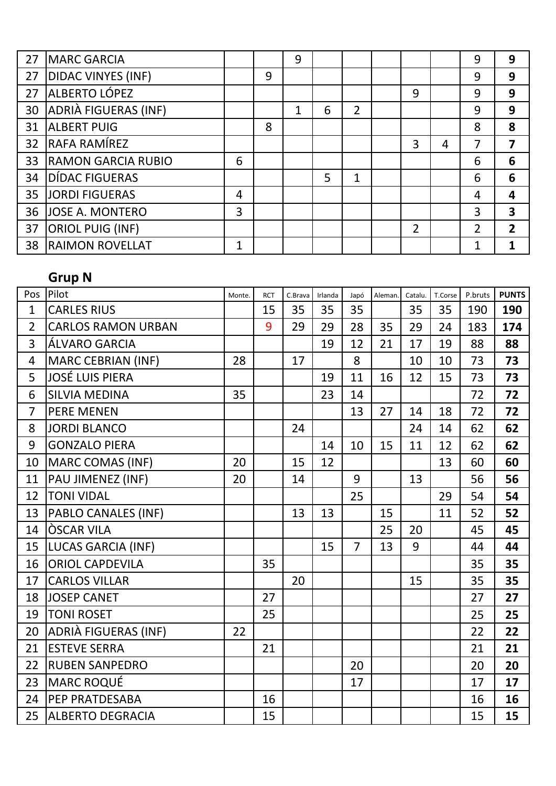| 27 | <b>MARC GARCIA</b>        |   |   | 9 |   |                |   |   | 9 | 9              |
|----|---------------------------|---|---|---|---|----------------|---|---|---|----------------|
| 27 | <b>DIDAC VINYES (INF)</b> |   | 9 |   |   |                |   |   | 9 | 9              |
| 27 | ALBERTO LÓPEZ             |   |   |   |   |                | 9 |   | 9 | 9              |
| 30 | ADRIÀ FIGUERAS (INF)      |   |   |   | 6 | $\overline{2}$ |   |   | 9 | 9              |
| 31 | <b>ALBERT PUIG</b>        |   | 8 |   |   |                |   |   | 8 | 8              |
| 32 | RAFA RAMÍREZ              |   |   |   |   |                | 3 | 4 |   | 7              |
| 33 | <b>RAMON GARCIA RUBIO</b> | 6 |   |   |   |                |   |   | 6 | 6              |
| 34 | DÍDAC FIGUERAS            |   |   |   | 5 | 1              |   |   | 6 | 6              |
| 35 | <b>JORDI FIGUERAS</b>     | 4 |   |   |   |                |   |   | 4 | 4              |
| 36 | <b>JOSE A. MONTERO</b>    | 3 |   |   |   |                |   |   | 3 | 3              |
| 37 | <b>ORIOL PUIG (INF)</b>   |   |   |   |   |                | 2 |   | 2 | $\overline{2}$ |
| 38 | <b>RAIMON ROVELLAT</b>    | 1 |   |   |   |                |   |   |   |                |

# **Grup N**

| Pos            | Pilot                     | Monte. | <b>RCT</b> | C.Brava | Irlanda | Japó           | Aleman. | Catalu. | T.Corse | P.bruts | <b>PUNTS</b> |
|----------------|---------------------------|--------|------------|---------|---------|----------------|---------|---------|---------|---------|--------------|
| $\mathbf 1$    | <b>CARLES RIUS</b>        |        | 15         | 35      | 35      | 35             |         | 35      | 35      | 190     | 190          |
| $\overline{2}$ | <b>CARLOS RAMON URBAN</b> |        | 9          | 29      | 29      | 28             | 35      | 29      | 24      | 183     | 174          |
| 3              | ÁLVARO GARCIA             |        |            |         | 19      | 12             | 21      | 17      | 19      | 88      | 88           |
| $\overline{4}$ | <b>MARC CEBRIAN (INF)</b> | 28     |            | 17      |         | 8              |         | 10      | 10      | 73      | 73           |
| 5              | <b>JOSÉ LUIS PIERA</b>    |        |            |         | 19      | 11             | 16      | 12      | 15      | 73      | 73           |
| 6              | <b>SILVIA MEDINA</b>      | 35     |            |         | 23      | 14             |         |         |         | 72      | 72           |
| $\overline{7}$ | <b>PERE MENEN</b>         |        |            |         |         | 13             | 27      | 14      | 18      | 72      | 72           |
| 8              | <b>JORDI BLANCO</b>       |        |            | 24      |         |                |         | 24      | 14      | 62      | 62           |
| 9              | <b>GONZALO PIERA</b>      |        |            |         | 14      | 10             | 15      | 11      | 12      | 62      | 62           |
| 10             | MARC COMAS (INF)          | 20     |            | 15      | 12      |                |         |         | 13      | 60      | 60           |
| 11             | PAU JIMENEZ (INF)         | 20     |            | 14      |         | 9              |         | 13      |         | 56      | 56           |
| 12             | <b>TONI VIDAL</b>         |        |            |         |         | 25             |         |         | 29      | 54      | 54           |
| 13             | PABLO CANALES (INF)       |        |            | 13      | 13      |                | 15      |         | 11      | 52      | 52           |
| 14             | <b>OSCAR VILA</b>         |        |            |         |         |                | 25      | 20      |         | 45      | 45           |
| 15             | <b>LUCAS GARCIA (INF)</b> |        |            |         | 15      | $\overline{7}$ | 13      | 9       |         | 44      | 44           |
| 16             | <b>ORIOL CAPDEVILA</b>    |        | 35         |         |         |                |         |         |         | 35      | 35           |
| 17             | <b>CARLOS VILLAR</b>      |        |            | 20      |         |                |         | 15      |         | 35      | 35           |
| 18             | <b>JOSEP CANET</b>        |        | 27         |         |         |                |         |         |         | 27      | 27           |
| 19             | <b>TONI ROSET</b>         |        | 25         |         |         |                |         |         |         | 25      | 25           |
| 20             | ADRIÀ FIGUERAS (INF)      | 22     |            |         |         |                |         |         |         | 22      | 22           |
| 21             | <b>ESTEVE SERRA</b>       |        | 21         |         |         |                |         |         |         | 21      | 21           |
| 22             | <b>RUBEN SANPEDRO</b>     |        |            |         |         | 20             |         |         |         | 20      | 20           |
| 23             | <b>MARC ROQUÉ</b>         |        |            |         |         | 17             |         |         |         | 17      | 17           |
| 24             | PEP PRATDESABA            |        | 16         |         |         |                |         |         |         | 16      | 16           |
| 25             | <b>ALBERTO DEGRACIA</b>   |        | 15         |         |         |                |         |         |         | 15      | 15           |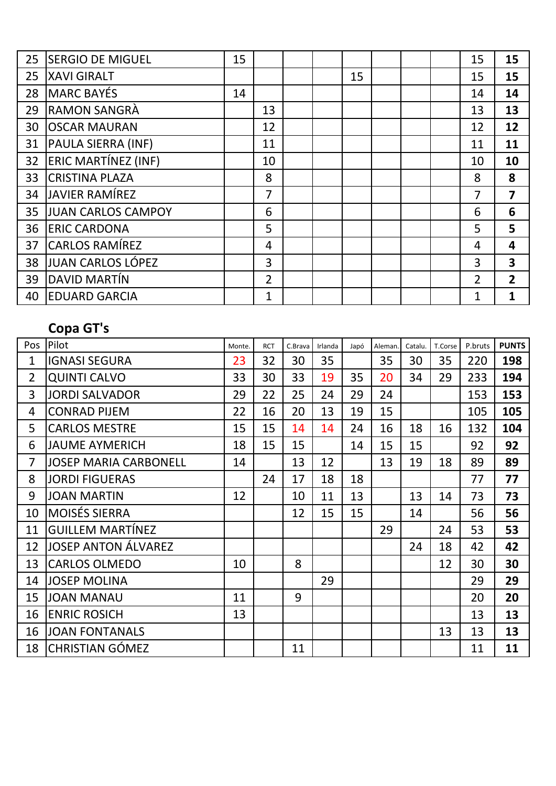| 25 | <b>SERGIO DE MIGUEL</b>    | 15 |                |  |    |  | 15             | 15             |
|----|----------------------------|----|----------------|--|----|--|----------------|----------------|
| 25 | <b>XAVI GIRALT</b>         |    |                |  | 15 |  | 15             | 15             |
| 28 | <b>MARC BAYÉS</b>          | 14 |                |  |    |  | 14             | 14             |
| 29 | <b>RAMON SANGRÀ</b>        |    | 13             |  |    |  | 13             | 13             |
| 30 | <b>OSCAR MAURAN</b>        |    | 12             |  |    |  | 12             | 12             |
| 31 | PAULA SIERRA (INF)         |    | 11             |  |    |  | 11             | 11             |
| 32 | <b>ERIC MARTÍNEZ (INF)</b> |    | 10             |  |    |  | 10             | 10             |
| 33 | <b>CRISTINA PLAZA</b>      |    | 8              |  |    |  | 8              | 8              |
| 34 | <b>JAVIER RAMÍREZ</b>      |    | 7              |  |    |  | 7              | $\overline{7}$ |
| 35 | <b>JUAN CARLOS CAMPOY</b>  |    | 6              |  |    |  | 6              | 6              |
| 36 | <b>ERIC CARDONA</b>        |    | 5              |  |    |  | 5              | 5              |
| 37 | <b>CARLOS RAMÍREZ</b>      |    | 4              |  |    |  | 4              | 4              |
| 38 | JUAN CARLOS LÓPEZ          |    | 3              |  |    |  | 3              | 3              |
| 39 | DAVID MARTÍN               |    | $\overline{2}$ |  |    |  | $\overline{2}$ | $\overline{2}$ |
| 40 | <b>EDUARD GARCIA</b>       |    | 1              |  |    |  | 1              | 1              |

#### **Copa GT's**

| Pos          | Pilot                        | Monte. | <b>RCT</b> | C.Brava | Irlanda | Japó | Aleman | Catalu. | T.Corse | P.bruts | <b>PUNTS</b> |
|--------------|------------------------------|--------|------------|---------|---------|------|--------|---------|---------|---------|--------------|
| $\mathbf{1}$ | <b>IGNASI SEGURA</b>         | 23     | 32         | 30      | 35      |      | 35     | 30      | 35      | 220     | 198          |
| 2            | <b>QUINTI CALVO</b>          | 33     | 30         | 33      | 19      | 35   | 20     | 34      | 29      | 233     | 194          |
| 3            | <b>JORDI SALVADOR</b>        | 29     | 22         | 25      | 24      | 29   | 24     |         |         | 153     | 153          |
| 4            | <b>CONRAD PIJEM</b>          | 22     | 16         | 20      | 13      | 19   | 15     |         |         | 105     | 105          |
| 5            | <b>CARLOS MESTRE</b>         | 15     | 15         | 14      | 14      | 24   | 16     | 18      | 16      | 132     | 104          |
| 6            | <b>JAUME AYMERICH</b>        | 18     | 15         | 15      |         | 14   | 15     | 15      |         | 92      | 92           |
| 7            | <b>JOSEP MARIA CARBONELL</b> | 14     |            | 13      | 12      |      | 13     | 19      | 18      | 89      | 89           |
| 8            | <b>JORDI FIGUERAS</b>        |        | 24         | 17      | 18      | 18   |        |         |         | 77      | 77           |
| 9            | <b>JOAN MARTIN</b>           | 12     |            | 10      | 11      | 13   |        | 13      | 14      | 73      | 73           |
| 10           | <b>MOISÉS SIERRA</b>         |        |            | 12      | 15      | 15   |        | 14      |         | 56      | 56           |
| 11           | <b>GUILLEM MARTÍNEZ</b>      |        |            |         |         |      | 29     |         | 24      | 53      | 53           |
| 12           | <b>JOSEP ANTON ÁLVAREZ</b>   |        |            |         |         |      |        | 24      | 18      | 42      | 42           |
| 13           | <b>CARLOS OLMEDO</b>         | 10     |            | 8       |         |      |        |         | 12      | 30      | 30           |
| 14           | <b>JOSEP MOLINA</b>          |        |            |         | 29      |      |        |         |         | 29      | 29           |
| 15           | <b>JOAN MANAU</b>            | 11     |            | 9       |         |      |        |         |         | 20      | 20           |
| 16           | <b>ENRIC ROSICH</b>          | 13     |            |         |         |      |        |         |         | 13      | 13           |
| 16           | <b>JOAN FONTANALS</b>        |        |            |         |         |      |        |         | 13      | 13      | 13           |
| 18           | <b>CHRISTIAN GÓMEZ</b>       |        |            | 11      |         |      |        |         |         | 11      | 11           |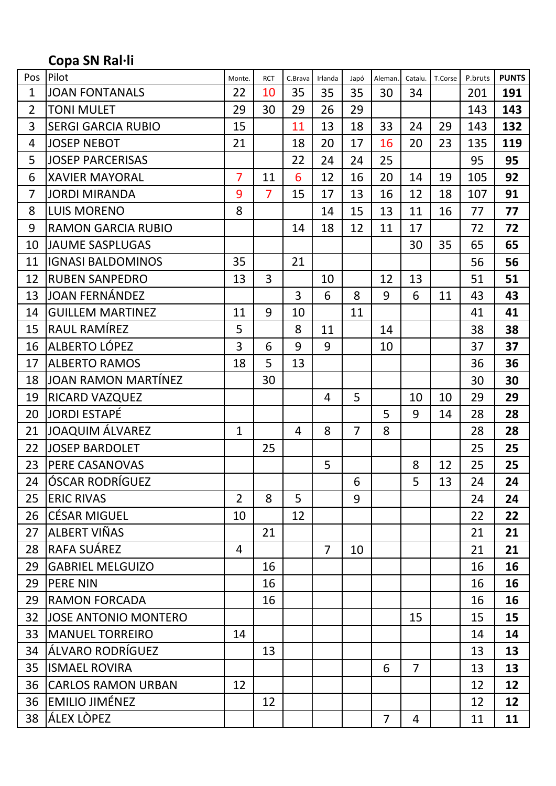# **Copa SN Ral·li**

| Pos            | Pilot                       | Monte.         | <b>RCT</b>     | C.Brava | Irlanda        | Japó           | Aleman | Catalu.        | T.Corse | P.bruts | <b>PUNTS</b> |
|----------------|-----------------------------|----------------|----------------|---------|----------------|----------------|--------|----------------|---------|---------|--------------|
| $\mathbf{1}$   | <b>JOAN FONTANALS</b>       | 22             | 10             | 35      | 35             | 35             | 30     | 34             |         | 201     | 191          |
| $\overline{2}$ | <b>TONI MULET</b>           | 29             | 30             | 29      | 26             | 29             |        |                |         | 143     | 143          |
| 3              | <b>SERGI GARCIA RUBIO</b>   | 15             |                | 11      | 13             | 18             | 33     | 24             | 29      | 143     | 132          |
| 4              | <b>JOSEP NEBOT</b>          | 21             |                | 18      | 20             | 17             | 16     | 20             | 23      | 135     | 119          |
| 5              | <b>JOSEP PARCERISAS</b>     |                |                | 22      | 24             | 24             | 25     |                |         | 95      | 95           |
| 6              | <b>XAVIER MAYORAL</b>       | $\overline{7}$ | 11             | 6       | 12             | 16             | 20     | 14             | 19      | 105     | 92           |
| $\overline{7}$ | <b>JORDI MIRANDA</b>        | 9              | $\overline{7}$ | 15      | 17             | 13             | 16     | 12             | 18      | 107     | 91           |
| 8              | <b>LUIS MORENO</b>          | 8              |                |         | 14             | 15             | 13     | 11             | 16      | 77      | 77           |
| 9              | <b>RAMON GARCIA RUBIO</b>   |                |                | 14      | 18             | 12             | 11     | 17             |         | 72      | 72           |
| 10             | <b>JAUME SASPLUGAS</b>      |                |                |         |                |                |        | 30             | 35      | 65      | 65           |
| 11             | <b>IGNASI BALDOMINOS</b>    | 35             |                | 21      |                |                |        |                |         | 56      | 56           |
| 12             | <b>RUBEN SANPEDRO</b>       | 13             | $\overline{3}$ |         | 10             |                | 12     | 13             |         | 51      | 51           |
| 13             | <b>JOAN FERNÁNDEZ</b>       |                |                | 3       | 6              | 8              | 9      | 6              | 11      | 43      | 43           |
| 14             | <b>GUILLEM MARTINEZ</b>     | 11             | 9              | 10      |                | 11             |        |                |         | 41      | 41           |
| 15             | RAUL RAMÍREZ                | 5              |                | 8       | 11             |                | 14     |                |         | 38      | 38           |
| 16             | ALBERTO LÓPEZ               | 3              | 6              | 9       | 9              |                | 10     |                |         | 37      | 37           |
| 17             | <b>ALBERTO RAMOS</b>        | 18             | 5              | 13      |                |                |        |                |         | 36      | 36           |
| 18             | <b>JOAN RAMON MARTÍNEZ</b>  |                | 30             |         |                |                |        |                |         | 30      | 30           |
| 19             | RICARD VAZQUEZ              |                |                |         | 4              | 5              |        | 10             | 10      | 29      | 29           |
| 20             | <b>JORDI ESTAPÉ</b>         |                |                |         |                |                | 5      | 9              | 14      | 28      | 28           |
| 21             | <b>JOAQUIM ÁLVAREZ</b>      | $\mathbf{1}$   |                | 4       | 8              | $\overline{7}$ | 8      |                |         | 28      | 28           |
| 22             | <b>JOSEP BARDOLET</b>       |                | 25             |         |                |                |        |                |         | 25      | 25           |
| 23             | PERE CASANOVAS              |                |                |         | 5              |                |        | 8              | 12      | 25      | 25           |
| 24             | <b>ÓSCAR RODRÍGUEZ</b>      |                |                |         |                | 6              |        | 5              | 13      | 24      | 24           |
| 25             | <b>ERIC RIVAS</b>           | $\overline{2}$ | 8              | 5       |                | 9              |        |                |         | 24      | 24           |
| 26             | <b>CÉSAR MIGUEL</b>         | 10             |                | 12      |                |                |        |                |         | 22      | 22           |
| 27             | ALBERT VIÑAS                |                | 21             |         |                |                |        |                |         | 21      | 21           |
| 28             | RAFA SUÁREZ                 | 4              |                |         | $\overline{7}$ | 10             |        |                |         | 21      | 21           |
| 29             | <b>GABRIEL MELGUIZO</b>     |                | 16             |         |                |                |        |                |         | 16      | 16           |
| 29             | <b>PERE NIN</b>             |                | 16             |         |                |                |        |                |         | 16      | 16           |
| 29             | <b>RAMON FORCADA</b>        |                | 16             |         |                |                |        |                |         | 16      | 16           |
| 32             | <b>JOSE ANTONIO MONTERO</b> |                |                |         |                |                |        | 15             |         | 15      | 15           |
| 33             | <b>MANUEL TORREIRO</b>      | 14             |                |         |                |                |        |                |         | 14      | 14           |
| 34             | ÁLVARO RODRÍGUEZ            |                | 13             |         |                |                |        |                |         | 13      | 13           |
| 35             | <b>ISMAEL ROVIRA</b>        |                |                |         |                |                | 6      | $\overline{7}$ |         | 13      | 13           |
| 36             | <b>CARLOS RAMON URBAN</b>   | 12             |                |         |                |                |        |                |         | 12      | 12           |
| 36             | <b>EMILIO JIMÉNEZ</b>       |                | 12             |         |                |                |        |                |         | 12      | 12           |
| 38             | ÁLEX LÒPEZ                  |                |                |         |                |                | 7      | 4              |         | 11      | 11           |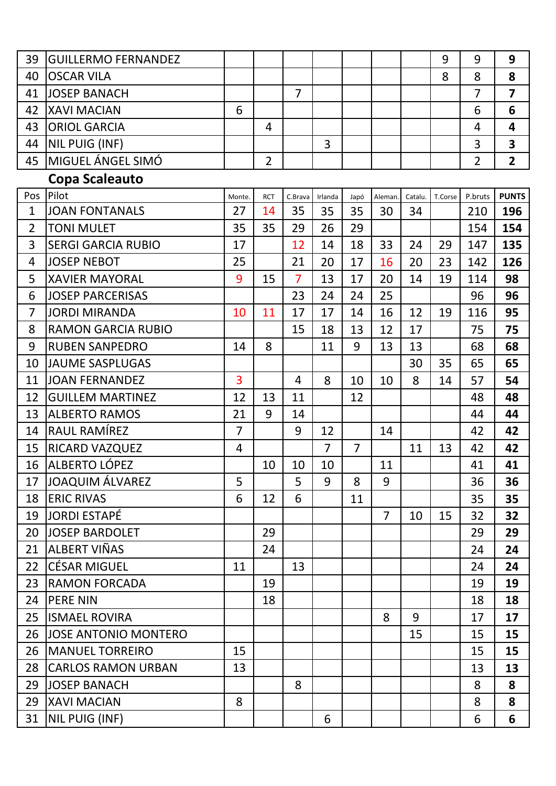| 39             | <b>GUILLERMO FERNANDEZ</b>  |                |                |                |                |                |                |         | 9       | 9              | 9                       |
|----------------|-----------------------------|----------------|----------------|----------------|----------------|----------------|----------------|---------|---------|----------------|-------------------------|
| 40             | <b>OSCAR VILA</b>           |                |                |                |                |                |                |         | 8       | 8              | 8                       |
| 41             | <b>JOSEP BANACH</b>         |                |                | $\overline{7}$ |                |                |                |         |         | $\overline{7}$ | $\overline{7}$          |
| 42             | <b>XAVI MACIAN</b>          | 6              |                |                |                |                |                |         |         | 6              | 6                       |
| 43             | <b>ORIOL GARCIA</b>         |                | 4              |                |                |                |                |         |         | $\overline{4}$ | $\overline{\mathbf{4}}$ |
| 44             | NIL PUIG (INF)              |                |                |                | 3              |                |                |         |         | 3              | $\overline{\mathbf{3}}$ |
| 45             | MIGUEL ÁNGEL SIMÓ           |                | $\overline{2}$ |                |                |                |                |         |         | $\overline{2}$ | $\overline{2}$          |
|                | Copa Scaleauto              |                |                |                |                |                |                |         |         |                |                         |
| Pos            | Pilot                       | Monte.         | <b>RCT</b>     | C.Brava        | Irlanda        | Japó           | Aleman         | Catalu. | T.Corse | P.bruts        | <b>PUNTS</b>            |
| $\mathbf{1}$   | <b>JOAN FONTANALS</b>       | 27             | 14             | 35             | 35             | 35             | 30             | 34      |         | 210            | 196                     |
| $\overline{2}$ | <b>TONI MULET</b>           | 35             | 35             | 29             | 26             | 29             |                |         |         | 154            | 154                     |
| 3              | <b>SERGI GARCIA RUBIO</b>   | 17             |                | 12             | 14             | 18             | 33             | 24      | 29      | 147            | 135                     |
| 4              | <b>JOSEP NEBOT</b>          | 25             |                | 21             | 20             | 17             | 16             | 20      | 23      | 142            | 126                     |
| 5              | <b>XAVIER MAYORAL</b>       | 9              | 15             | $\overline{7}$ | 13             | 17             | 20             | 14      | 19      | 114            | 98                      |
| 6              | <b>JOSEP PARCERISAS</b>     |                |                | 23             | 24             | 24             | 25             |         |         | 96             | 96                      |
| $\overline{7}$ | <b>JORDI MIRANDA</b>        | 10             | 11             | 17             | 17             | 14             | 16             | 12      | 19      | 116            | 95                      |
| 8              | <b>RAMON GARCIA RUBIO</b>   |                |                | 15             | 18             | 13             | 12             | 17      |         | 75             | 75                      |
| 9              | <b>RUBEN SANPEDRO</b>       | 14             | 8              |                | 11             | 9              | 13             | 13      |         | 68             | 68                      |
| 10             | <b>JAUME SASPLUGAS</b>      |                |                |                |                |                |                | 30      | 35      | 65             | 65                      |
| 11             | <b>JOAN FERNANDEZ</b>       | 3              |                | $\overline{4}$ | 8              | 10             | 10             | 8       | 14      | 57             | 54                      |
| 12             | <b>GUILLEM MARTINEZ</b>     | 12             | 13             | 11             |                | 12             |                |         |         | 48             | 48                      |
| 13             | <b>ALBERTO RAMOS</b>        | 21             | 9              | 14             |                |                |                |         |         | 44             | 44                      |
| 14             | RAUL RAMÍREZ                | $\overline{7}$ |                | 9              | 12             |                | 14             |         |         | 42             | 42                      |
| 15             | RICARD VAZQUEZ              | 4              |                |                | $\overline{7}$ | $\overline{7}$ |                | 11      | 13      | 42             | 42                      |
| 16             | ALBERTO LÓPEZ               |                | 10             | 10             | 10             |                | 11             |         |         | 41             | 41                      |
| 17             | <b>JOAQUIM ÁLVAREZ</b>      | 5              |                | 5              | 9              | 8              | 9              |         |         | 36             | 36                      |
| 18             | <b>ERIC RIVAS</b>           | 6              | 12             | 6              |                | 11             |                |         |         | 35             | 35                      |
| 19             | <b>JORDI ESTAPÉ</b>         |                |                |                |                |                | $\overline{7}$ | 10      | 15      | 32             | 32                      |
| 20             | <b>JOSEP BARDOLET</b>       |                | 29             |                |                |                |                |         |         | 29             | 29                      |
| 21             | ALBERT VIÑAS                |                | 24             |                |                |                |                |         |         | 24             | 24                      |
| 22             | <b>CÉSAR MIGUEL</b>         | 11             |                | 13             |                |                |                |         |         | 24             | 24                      |
| 23             | <b>RAMON FORCADA</b>        |                | 19             |                |                |                |                |         |         | 19             | 19                      |
| 24             | <b>PERE NIN</b>             |                | 18             |                |                |                |                |         |         | 18             | 18                      |
| 25             | <b>ISMAEL ROVIRA</b>        |                |                |                |                |                | 8              | 9       |         | 17             | 17                      |
| 26             | <b>JOSE ANTONIO MONTERO</b> |                |                |                |                |                |                | 15      |         | 15             | 15                      |
| 26             | <b>MANUEL TORREIRO</b>      | 15             |                |                |                |                |                |         |         | 15             | 15                      |
| 28             | <b>CARLOS RAMON URBAN</b>   | 13             |                |                |                |                |                |         |         | 13             | 13                      |
| 29             | <b>JOSEP BANACH</b>         |                |                | 8              |                |                |                |         |         | 8              | 8                       |
| 29             | <b>XAVI MACIAN</b>          | 8              |                |                |                |                |                |         |         | 8              | 8                       |
| 31             | NIL PUIG (INF)              |                |                |                | 6              |                |                |         |         | 6              | 6                       |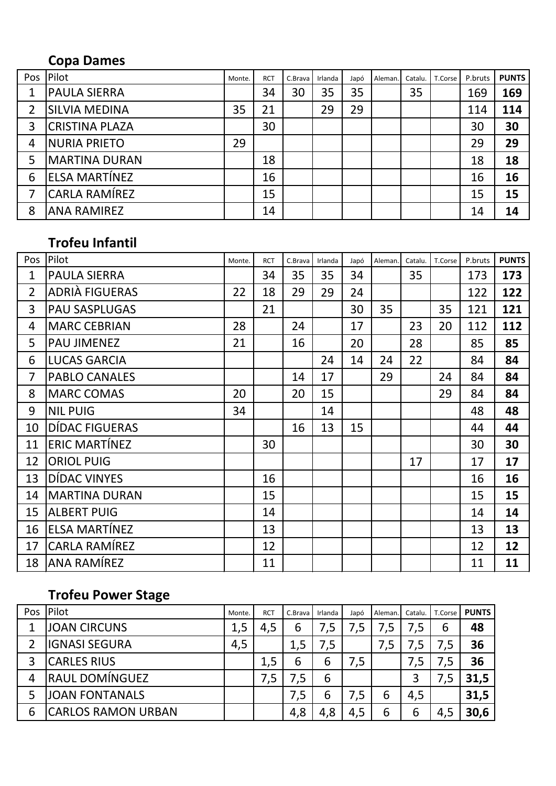# **Copa Dames**

| Pos | Pilot                 | Monte. | <b>RCT</b> | C.Brava | Irlanda | Japó | Aleman. | Catalu. | T.Corse | P.bruts | <b>PUNTS</b> |
|-----|-----------------------|--------|------------|---------|---------|------|---------|---------|---------|---------|--------------|
| 1   | <b>PAULA SIERRA</b>   |        | 34         | 30      | 35      | 35   |         | 35      |         | 169     | 169          |
| 2   | <b>SILVIA MEDINA</b>  | 35     | 21         |         | 29      | 29   |         |         |         | 114     | 114          |
| 3   | <b>CRISTINA PLAZA</b> |        | 30         |         |         |      |         |         |         | 30      | 30           |
| 4   | <b>NURIA PRIETO</b>   | 29     |            |         |         |      |         |         |         | 29      | 29           |
| 5   | <b>MARTINA DURAN</b>  |        | 18         |         |         |      |         |         |         | 18      | 18           |
| 6   | ELSA MARTÍNEZ         |        | 16         |         |         |      |         |         |         | 16      | 16           |
|     | CARLA RAMÍREZ         |        | 15         |         |         |      |         |         |         | 15      | 15           |
| 8   | <b>ANA RAMIREZ</b>    |        | 14         |         |         |      |         |         |         | 14      | 14           |

# **Trofeu Infantil**

| Pos | Pilot                 | Monte. | <b>RCT</b> | C.Brava | Irlanda | Japó | Aleman | Catalu. | T.Corse | P.bruts | <b>PUNTS</b> |
|-----|-----------------------|--------|------------|---------|---------|------|--------|---------|---------|---------|--------------|
| 1   | <b>PAULA SIERRA</b>   |        | 34         | 35      | 35      | 34   |        | 35      |         | 173     | 173          |
| 2   | <b>ADRIÀ FIGUERAS</b> | 22     | 18         | 29      | 29      | 24   |        |         |         | 122     | 122          |
| 3   | <b>PAU SASPLUGAS</b>  |        | 21         |         |         | 30   | 35     |         | 35      | 121     | 121          |
| 4   | <b>MARC CEBRIAN</b>   | 28     |            | 24      |         | 17   |        | 23      | 20      | 112     | 112          |
| 5   | <b>PAU JIMENEZ</b>    | 21     |            | 16      |         | 20   |        | 28      |         | 85      | 85           |
| 6   | <b>LUCAS GARCIA</b>   |        |            |         | 24      | 14   | 24     | 22      |         | 84      | 84           |
| 7   | <b>PABLO CANALES</b>  |        |            | 14      | 17      |      | 29     |         | 24      | 84      | 84           |
| 8   | <b>MARC COMAS</b>     | 20     |            | 20      | 15      |      |        |         | 29      | 84      | 84           |
| 9   | <b>NIL PUIG</b>       | 34     |            |         | 14      |      |        |         |         | 48      | 48           |
| 10  | DÍDAC FIGUERAS        |        |            | 16      | 13      | 15   |        |         |         | 44      | 44           |
| 11  | ERIC MARTÍNEZ         |        | 30         |         |         |      |        |         |         | 30      | 30           |
| 12  | <b>ORIOL PUIG</b>     |        |            |         |         |      |        | 17      |         | 17      | 17           |
| 13  | DÍDAC VINYES          |        | 16         |         |         |      |        |         |         | 16      | 16           |
| 14  | <b>MARTINA DURAN</b>  |        | 15         |         |         |      |        |         |         | 15      | 15           |
| 15  | <b>ALBERT PUIG</b>    |        | 14         |         |         |      |        |         |         | 14      | 14           |
| 16  | <b>ELSA MARTÍNEZ</b>  |        | 13         |         |         |      |        |         |         | 13      | 13           |
| 17  | <b>CARLA RAMÍREZ</b>  |        | 12         |         |         |      |        |         |         | 12      | 12           |
| 18  | <b>ANA RAMÍREZ</b>    |        | 11         |         |         |      |        |         |         | 11      | 11           |

# **Trofeu Power Stage**

| Pos. | Pilot                     | Monte. | <b>RCT</b> | C.Brava | Irlanda | Japó | Aleman | Catalu. | T.Corse | <b>PUNTS</b> |
|------|---------------------------|--------|------------|---------|---------|------|--------|---------|---------|--------------|
|      | <b>JOAN CIRCUNS</b>       | 1,5    | 4,5        | 6       |         |      | 7,5    | 7,5     | 6       | 48           |
|      | <b>IGNASI SEGURA</b>      | 4,5    |            | 1,5     | 7,5     |      | 7,5    |         | 7,5     | 36           |
|      | <b>CARLES RIUS</b>        |        | 1,5        | 6       | 6       | 7,5  |        | 7,5     |         | 36           |
| 4    | <b>RAUL DOMÍNGUEZ</b>     |        | .5<br>7    | 7,5     | 6       |      |        | 3       |         | 31,5         |
|      | <b>JOAN FONTANALS</b>     |        |            | 7,5     | 6       | 7,5  | 6      | 4,5     |         | 31,5         |
| 6    | <b>CARLOS RAMON URBAN</b> |        |            | 4,8     | 4,8     | 4,5  | 6      | 6       | 4,5     | 30,6         |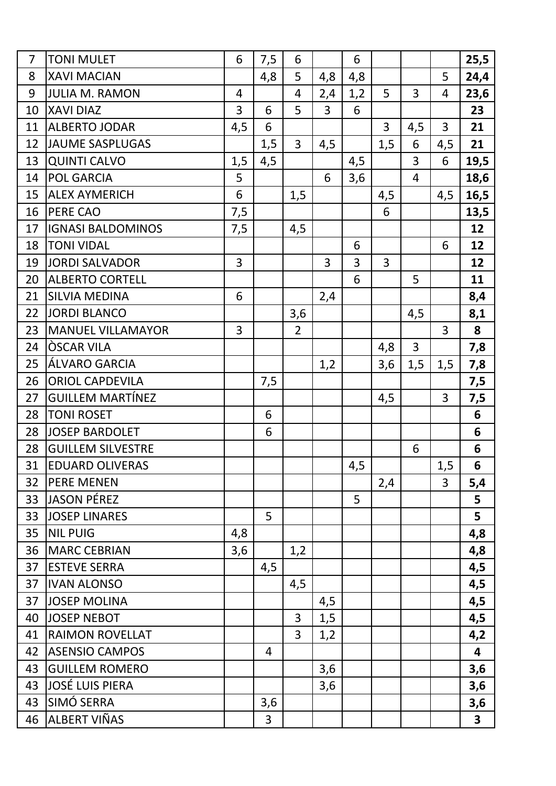| $\overline{7}$ | <b>TONI MULET</b>        | 6              | 7,5 | 6              |                | 6   |     |                |                | 25,5           |
|----------------|--------------------------|----------------|-----|----------------|----------------|-----|-----|----------------|----------------|----------------|
| 8              | <b>XAVI MACIAN</b>       |                | 4,8 | 5              | 4,8            | 4,8 |     |                | 5              | 24,4           |
| 9              | <b>JULIA M. RAMON</b>    | $\overline{4}$ |     | $\overline{4}$ | 2,4            | 1,2 | 5   | 3              | $\overline{4}$ | 23,6           |
| 10             | <b>XAVI DIAZ</b>         | 3              | 6   | 5              | $\overline{3}$ | 6   |     |                |                | 23             |
| 11             | <b>ALBERTO JODAR</b>     | 4,5            | 6   |                |                |     | 3   | 4,5            | 3              | 21             |
| 12             | <b>JAUME SASPLUGAS</b>   |                | 1,5 | $\overline{3}$ | 4,5            |     | 1,5 | 6              | 4,5            | 21             |
| 13             | <b>QUINTI CALVO</b>      | 1,5            | 4,5 |                |                | 4,5 |     | 3              | 6              | 19,5           |
| 14             | <b>POL GARCIA</b>        | 5              |     |                | 6              | 3,6 |     | $\overline{4}$ |                | 18,6           |
| 15             | <b>ALEX AYMERICH</b>     | 6              |     | 1,5            |                |     | 4,5 |                | 4,5            | 16,5           |
| 16             | <b>PERE CAO</b>          | 7,5            |     |                |                |     | 6   |                |                | 13,5           |
| 17             | <b>IGNASI BALDOMINOS</b> | 7,5            |     | 4,5            |                |     |     |                |                | 12             |
| 18             | <b>TONI VIDAL</b>        |                |     |                |                | 6   |     |                | 6              | 12             |
| 19             | <b>JORDI SALVADOR</b>    | 3              |     |                | 3              | 3   | 3   |                |                | 12             |
| 20             | <b>ALBERTO CORTELL</b>   |                |     |                |                | 6   |     | 5              |                | 11             |
| 21             | <b>SILVIA MEDINA</b>     | 6              |     |                | 2,4            |     |     |                |                | 8,4            |
| 22             | <b>JORDI BLANCO</b>      |                |     | 3,6            |                |     |     | 4,5            |                | 8,1            |
| 23             | <b>MANUEL VILLAMAYOR</b> | 3              |     | $\overline{2}$ |                |     |     |                | 3              | 8              |
| 24             | <b>OSCAR VILA</b>        |                |     |                |                |     | 4,8 | 3              |                | 7,8            |
| 25             | ÁLVARO GARCIA            |                |     |                | 1,2            |     | 3,6 | 1,5            | 1,5            | 7,8            |
| 26             | <b>ORIOL CAPDEVILA</b>   |                | 7,5 |                |                |     |     |                |                | 7,5            |
| 27             | <b>GUILLEM MARTÍNEZ</b>  |                |     |                |                |     | 4,5 |                | 3              | 7,5            |
| 28             | <b>TONI ROSET</b>        |                | 6   |                |                |     |     |                |                | $6\phantom{1}$ |
| 28             | <b>JOSEP BARDOLET</b>    |                | 6   |                |                |     |     |                |                | 6              |
| 28             | <b>GUILLEM SILVESTRE</b> |                |     |                |                |     |     | 6              |                | 6              |
| 31             | <b>EDUARD OLIVERAS</b>   |                |     |                |                | 4,5 |     |                | 1,5            | 6              |
| 32             | <b>PERE MENEN</b>        |                |     |                |                |     | 2,4 |                | $\overline{3}$ | 5,4            |
| 33             | <b>JASON PÉREZ</b>       |                |     |                |                | 5   |     |                |                | 5              |
| 33             | <b>JOSEP LINARES</b>     |                | 5   |                |                |     |     |                |                | 5              |
| 35             | <b>NIL PUIG</b>          | 4,8            |     |                |                |     |     |                |                | 4,8            |
| 36             | <b>MARC CEBRIAN</b>      | 3,6            |     | 1,2            |                |     |     |                |                | 4,8            |
| 37             | <b>ESTEVE SERRA</b>      |                | 4,5 |                |                |     |     |                |                | 4,5            |
| 37             | <b>IVAN ALONSO</b>       |                |     | 4,5            |                |     |     |                |                | 4,5            |
| 37             | <b>JOSEP MOLINA</b>      |                |     |                | 4,5            |     |     |                |                | 4,5            |
| 40             | <b>JOSEP NEBOT</b>       |                |     | 3              | 1,5            |     |     |                |                | 4,5            |
| 41             | <b>RAIMON ROVELLAT</b>   |                |     | $\overline{3}$ | 1,2            |     |     |                |                | 4,2            |
| 42             | <b>ASENSIO CAMPOS</b>    |                | 4   |                |                |     |     |                |                | 4              |
| 43             | <b>GUILLEM ROMERO</b>    |                |     |                | 3,6            |     |     |                |                | 3,6            |
| 43             | <b>JOSÉ LUIS PIERA</b>   |                |     |                | 3,6            |     |     |                |                | 3,6            |
| 43             | SIMÓ SERRA               |                | 3,6 |                |                |     |     |                |                | 3,6            |
| 46             | ALBERT VIÑAS             |                | 3   |                |                |     |     |                |                | $\mathbf{3}$   |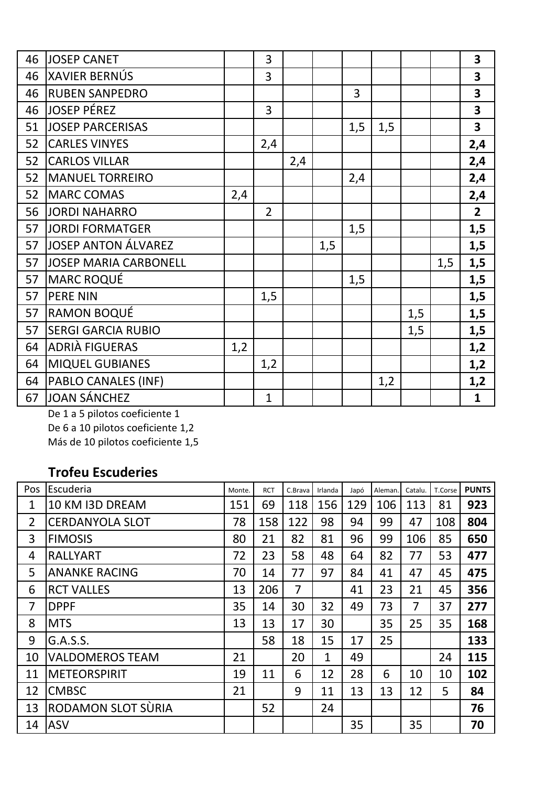| 46 | <b>JOSEP CANET</b>           |     | 3              |     |     |                |     |     |     | $\overline{\mathbf{3}}$ |
|----|------------------------------|-----|----------------|-----|-----|----------------|-----|-----|-----|-------------------------|
| 46 | <b>XAVIER BERNÚS</b>         |     | 3              |     |     |                |     |     |     | $\overline{\mathbf{3}}$ |
| 46 | <b>RUBEN SANPEDRO</b>        |     |                |     |     | $\overline{3}$ |     |     |     | $\overline{\mathbf{3}}$ |
| 46 | <b>JOSEP PÉREZ</b>           |     | $\overline{3}$ |     |     |                |     |     |     | $\overline{\mathbf{3}}$ |
| 51 | <b>JOSEP PARCERISAS</b>      |     |                |     |     | 1,5            | 1,5 |     |     | $\overline{\mathbf{3}}$ |
| 52 | <b>CARLES VINYES</b>         |     | 2,4            |     |     |                |     |     |     | 2,4                     |
| 52 | <b>CARLOS VILLAR</b>         |     |                | 2,4 |     |                |     |     |     | 2,4                     |
| 52 | <b>MANUEL TORREIRO</b>       |     |                |     |     | 2,4            |     |     |     | 2,4                     |
| 52 | <b>MARC COMAS</b>            | 2,4 |                |     |     |                |     |     |     | 2,4                     |
| 56 | <b>JORDI NAHARRO</b>         |     | $\overline{2}$ |     |     |                |     |     |     | $\overline{2}$          |
| 57 | <b>JORDI FORMATGER</b>       |     |                |     |     | 1,5            |     |     |     | 1,5                     |
| 57 | JOSEP ANTON ÁLVAREZ          |     |                |     | 1,5 |                |     |     |     | 1,5                     |
| 57 | <b>JOSEP MARIA CARBONELL</b> |     |                |     |     |                |     |     | 1,5 | 1,5                     |
| 57 | MARC ROQUÉ                   |     |                |     |     | 1,5            |     |     |     | 1,5                     |
| 57 | <b>PERE NIN</b>              |     | 1,5            |     |     |                |     |     |     | 1,5                     |
| 57 | <b>RAMON BOQUÉ</b>           |     |                |     |     |                |     | 1,5 |     | 1,5                     |
| 57 | <b>SERGI GARCIA RUBIO</b>    |     |                |     |     |                |     | 1,5 |     | 1,5                     |
| 64 | <b>ADRIÀ FIGUERAS</b>        | 1,2 |                |     |     |                |     |     |     | 1,2                     |
| 64 | <b>MIQUEL GUBIANES</b>       |     | 1,2            |     |     |                |     |     |     | 1,2                     |
| 64 | <b>PABLO CANALES (INF)</b>   |     |                |     |     |                | 1,2 |     |     | 1,2                     |
| 67 | JOAN SÁNCHEZ                 |     | $\mathbf{1}$   |     |     |                |     |     |     | $\mathbf{1}$            |

De 1 a 5 pilotos coeficiente 1 De 6 a 10 pilotos coeficiente 1,2

Más de 10 pilotos coeficiente 1,5

#### **Trofeu Escuderies**

| Pos            | Escuderia              | Monte. | <b>RCT</b> | C.Brava        | Irlanda      | Japó | Aleman | Catalu.        | T.Corse | <b>PUNTS</b> |
|----------------|------------------------|--------|------------|----------------|--------------|------|--------|----------------|---------|--------------|
| 1              | 10 KM I3D DREAM        | 151    | 69         | 118            | 156          | 129  | 106    | 113            | 81      | 923          |
| $\overline{2}$ | <b>CERDANYOLA SLOT</b> | 78     | 158        | 122            | 98           | 94   | 99     | 47             | 108     | 804          |
| 3              | <b>FIMOSIS</b>         | 80     | 21         | 82             | 81           | 96   | 99     | 106            | 85      | 650          |
| 4              | <b>RALLYART</b>        | 72     | 23         | 58             | 48           | 64   | 82     | 77             | 53      | 477          |
| 5              | <b>ANANKE RACING</b>   | 70     | 14         | 77             | 97           | 84   | 41     | 47             | 45      | 475          |
| 6              | <b>RCT VALLES</b>      | 13     | 206        | $\overline{7}$ |              | 41   | 23     | 21             | 45      | 356          |
| 7              | <b>DPPF</b>            | 35     | 14         | 30             | 32           | 49   | 73     | $\overline{7}$ | 37      | 277          |
| 8              | <b>MTS</b>             | 13     | 13         | 17             | 30           |      | 35     | 25             | 35      | 168          |
| 9              | G.A.S.S.               |        | 58         | 18             | 15           | 17   | 25     |                |         | 133          |
| 10             | <b>VALDOMEROS TEAM</b> | 21     |            | 20             | $\mathbf{1}$ | 49   |        |                | 24      | 115          |
| 11             | <b>METEORSPIRIT</b>    | 19     | 11         | 6              | 12           | 28   | 6      | 10             | 10      | 102          |
| 12             | <b>CMBSC</b>           | 21     |            | 9              | 11           | 13   | 13     | 12             | 5       | 84           |
| 13             | RODAMON SLOT SÙRIA     |        | 52         |                | 24           |      |        |                |         | 76           |
| 14             | <b>ASV</b>             |        |            |                |              | 35   |        | 35             |         | 70           |